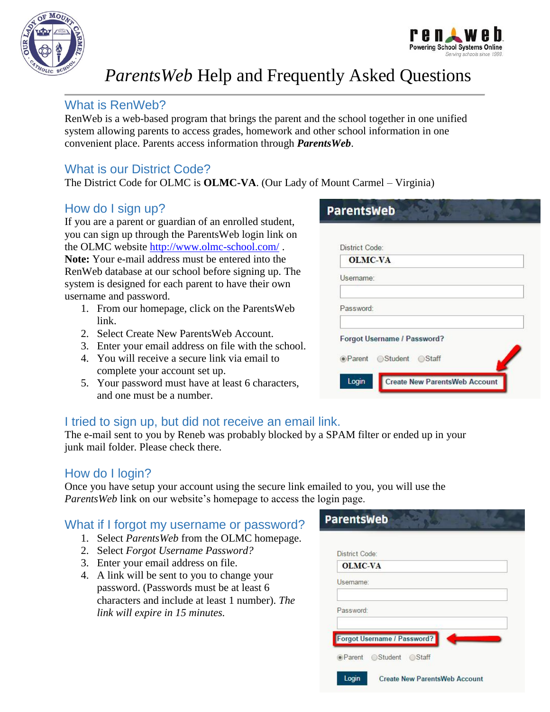



# *ParentsWeb* Help and Frequently Asked Questions

## What is RenWeb?

RenWeb is a web-based program that brings the parent and the school together in one unified system allowing parents to access grades, homework and other school information in one convenient place. Parents access information through *ParentsWeb*.

# What is our District Code?

The District Code for OLMC is **OLMC-VA**. (Our Lady of Mount Carmel – Virginia)

## How do I sign up?

If you are a parent or guardian of an enrolled student, you can sign up through the ParentsWeb login link on the OLMC website<http://www.olmc-school.com/> . **Note:** Your e-mail address must be entered into the RenWeb database at our school before signing up. The system is designed for each parent to have their own username and password.

- 1. From our homepage, click on the ParentsWeb link.
- 2. Select Create New ParentsWeb Account.
- 3. Enter your email address on file with the school.
- 4. You will receive a secure link via email to complete your account set up.
- 5. Your password must have at least 6 characters, and one must be a number.

# **ParentsWeb**

| <b>OLMC-VA</b> |                             |  |
|----------------|-----------------------------|--|
| Username:      |                             |  |
| Password:      |                             |  |
|                | Forgot Username / Password? |  |
|                | ● Parent Student Staff      |  |

# I tried to sign up, but did not receive an email link.

The e-mail sent to you by Reneb was probably blocked by a SPAM filter or ended up in your junk mail folder. Please check there.

#### How do I login?

Once you have setup your account using the secure link emailed to you, you will use the *ParentsWeb* link on our website's homepage to access the login page.

#### What if I forgot my username or password?

- 1. Select *ParentsWeb* from the OLMC homepage.
- 2. Select *Forgot Username Password?*
- 3. Enter your email address on file.
- 4. A link will be sent to you to change your password. (Passwords must be at least 6 characters and include at least 1 number). *The link will expire in 15 minutes.*

| District Code: |                             |  |
|----------------|-----------------------------|--|
| <b>OLMC-VA</b> |                             |  |
| Username:      |                             |  |
| Password:      |                             |  |
|                | Forgot Username / Password? |  |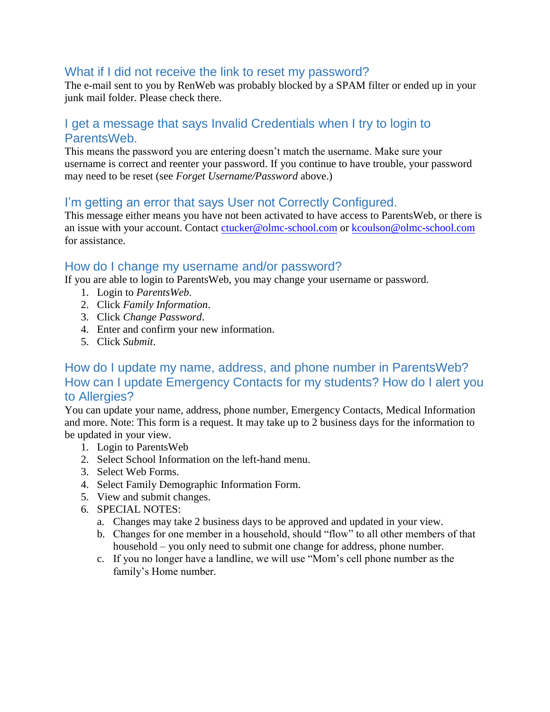#### What if I did not receive the link to reset my password?

The e-mail sent to you by RenWeb was probably blocked by a SPAM filter or ended up in your junk mail folder. Please check there.

#### I get a message that says Invalid Credentials when I try to login to ParentsWeb.

This means the password you are entering doesn't match the username. Make sure your username is correct and reenter your password. If you continue to have trouble, your password may need to be reset (see *Forget Username/Password* above.)

#### I'm getting an error that says User not Correctly Configured.

This message either means you have not been activated to have access to ParentsWeb, or there is an issue with your account. Contact [ctucker@olmc-school.com](mailto:ctucker@olmc-school.com) or [kcoulson@olmc-school.com](mailto:kcoulson@olmc-school.com) for assistance.

#### How do I change my username and/or password?

If you are able to login to ParentsWeb, you may change your username or password.

- 1. Login to *ParentsWeb*.
- 2. Click *Family Information*.
- 3. Click *Change Password*.
- 4. Enter and confirm your new information.
- 5. Click *Submit*.

## How do I update my name, address, and phone number in ParentsWeb? How can I update Emergency Contacts for my students? How do I alert you to Allergies?

You can update your name, address, phone number, Emergency Contacts, Medical Information and more. Note: This form is a request. It may take up to 2 business days for the information to be updated in your view.

- 1. Login to ParentsWeb
- 2. Select School Information on the left-hand menu.
- 3. Select Web Forms.
- 4. Select Family Demographic Information Form.
- 5. View and submit changes.
- 6. SPECIAL NOTES:
	- a. Changes may take 2 business days to be approved and updated in your view.
	- b. Changes for one member in a household, should "flow" to all other members of that household – you only need to submit one change for address, phone number.
	- c. If you no longer have a landline, we will use "Mom's cell phone number as the family's Home number.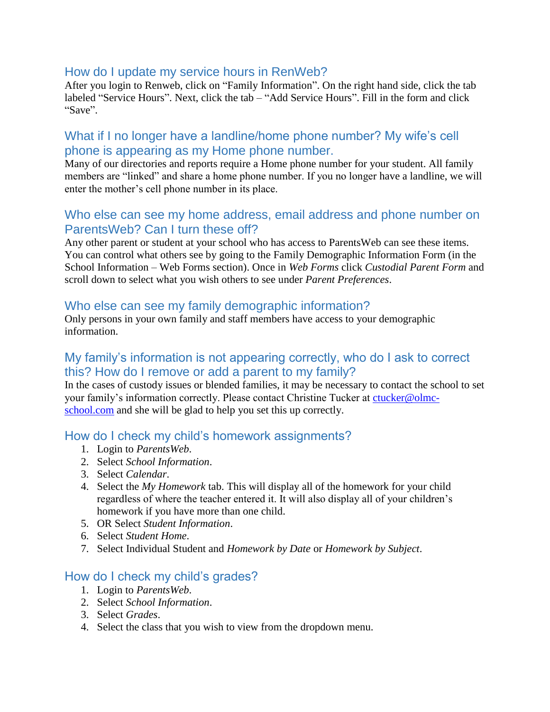#### How do I update my service hours in RenWeb?

After you login to Renweb, click on "Family Information". On the right hand side, click the tab labeled "Service Hours". Next, click the tab – "Add Service Hours". Fill in the form and click "Save".

#### What if I no longer have a landline/home phone number? My wife's cell phone is appearing as my Home phone number.

Many of our directories and reports require a Home phone number for your student. All family members are "linked" and share a home phone number. If you no longer have a landline, we will enter the mother's cell phone number in its place.

#### Who else can see my home address, email address and phone number on ParentsWeb? Can I turn these off?

Any other parent or student at your school who has access to ParentsWeb can see these items. You can control what others see by going to the Family Demographic Information Form (in the School Information – Web Forms section). Once in *Web Forms* click *Custodial Parent Form* and scroll down to select what you wish others to see under *Parent Preferences*.

#### Who else can see my family demographic information?

Only persons in your own family and staff members have access to your demographic information.

#### My family's information is not appearing correctly, who do I ask to correct this? How do I remove or add a parent to my family?

In the cases of custody issues or blended families, it may be necessary to contact the school to set your family's information correctly. Please contact Christine Tucker at [ctucker@olmc](mailto:ctucker@olmc-school.com)[school.com](mailto:ctucker@olmc-school.com) and she will be glad to help you set this up correctly.

#### How do I check my child's homework assignments?

- 1. Login to *ParentsWeb*.
- 2. Select *School Information*.
- 3. Select *Calendar*.
- 4. Select the *My Homework* tab. This will display all of the homework for your child regardless of where the teacher entered it. It will also display all of your children's homework if you have more than one child.
- 5. OR Select *Student Information*.
- 6. Select *Student Home*.
- 7. Select Individual Student and *Homework by Date* or *Homework by Subject*.

#### How do I check my child's grades?

- 1. Login to *ParentsWeb*.
- 2. Select *School Information*.
- 3. Select *Grades*.
- 4. Select the class that you wish to view from the dropdown menu.